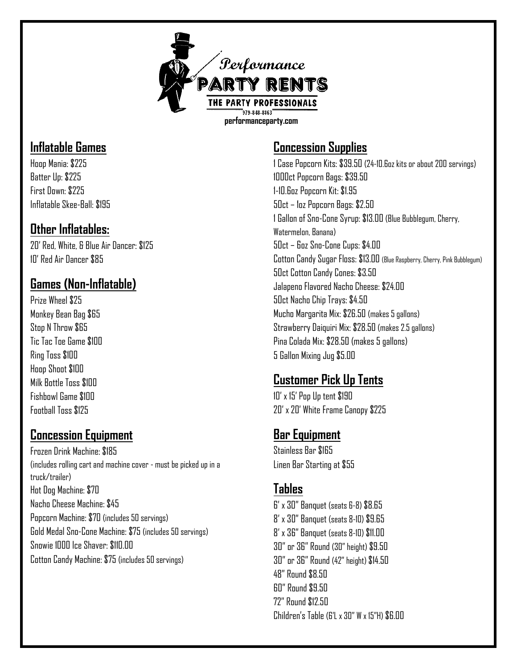

## **Inflatable Games**

Hoop Mania: \$225 Batter Up: \$225 First Down: \$225 Inflatable Skee-Ball: \$195

#### **Other Inflatables:**

20' Red, White, & Blue Air Dancer: \$125 10' Red Air Dancer \$85

## **Games (Non-Inflatable)**

Prize Wheel \$25 Monkey Bean Bag \$65 Stop N Throw \$65 Tic Tac Toe Game \$100 Ring Toss \$100 Hoop Shoot \$100 Milk Bottle Toss \$100 Fishhowl Game \$100 Football Toss \$125

### **Concession Equipment**

Frozen Drink Machine: \$185 (includes rolling cart and machine cover - must be picked up in a truck/trailer) Hot Dog Machine: \$70 Nacho Cheese Machine: \$45 Popcorn Machine: \$70 (includes 50 servings) Gold Medal Sno-Cone Machine: \$75 (includes 50 servings) Snowie 1000 Ice Shaver: \$110.00 Cotton Candy Machine: \$75 (includes 50 servings)

## **Concession Supplies**

1 Case Popcorn Kits: \$39.50 (24-10.6oz kits or about 200 servings) 1000ct Popcorn Bags: \$39.50 1-10.6oz Popcorn Kit: \$1.95 50ct – 1oz Popcorn Bags: \$2.50 1 Gallon of Sno-Cone Syrup: \$13.00 (Blue Bubblegum, Cherry, Watermelon, Banana) 50ct – 6oz Sno-Cone Cups: \$4.00 Cotton Candy Sugar Floss: \$13.00 (Blue Raspberry, Cherry, Pink Bubblegum) 50ct Cotton Candy Cones: \$3.50 Jalapeno Flavored Nacho Cheese: \$24.00 50ct Nacho Chip Trays: \$4.50 Mucho Margarita Mix: \$26.50 (makes 5 gallons) Strawberry Daiquiri Mix: \$28.50 (makes 2.5 gallons) Pina Colada Mix: \$28.50 (makes 5 gallons) 5 Gallon Mixing Jug \$5.00

## **Customer Pick Up Tents**

10' x 15' Pop Up tent \$190 20' x 20' White Frame Canopy \$225

## **Bar Equipment**

Stainless Bar \$165 Linen Bar Starting at \$55

## **Tables**

6' x 30" Banquet (seats 6-8) \$8.65 8' x 30" Banquet (seats 8-10) \$9.65 8' x 36" Banquet (seats 8-10) \$11.00 30" or 36" Round (30" height) \$9.50 30" or 36" Round (42" height) \$14.50 48" Round \$8.50 60" Round \$9.50 72" Round \$12.50 Children's Table (6'L x 30" W x 15"H) \$6.00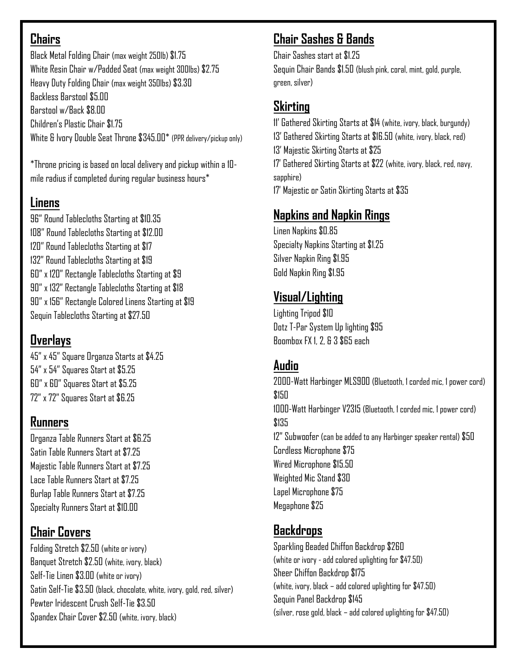## **Chairs**

Black Metal Folding Chair (max weight 250lb) \$1.75 White Resin Chair w/Padded Seat (max weight 300lbs) \$2.75 Heavy Duty Folding Chair (max weight 350lbs) \$3.30 Backless Barstool \$5.00 Barstool w/Back \$8.00 Children's Plastic Chair \$1.75 White & Ivory Double Seat Throne \$345.00\* (PPR delivery/pickup only)

\*Throne pricing is based on local delivery and pickup within a 10 mile radius if completed during regular business hours\*

## **Linens**

96" Round Tablecloths Starting at \$10.35 108" Round Tablecloths Starting at \$12.00 120" Round Tablecloths Starting at \$17 132" Round Tablecloths Starting at \$19 60" x 120" Rectangle Tablecloths Starting at \$9 90" x 132" Rectangle Tablecloths Starting at \$18 90" x 156" Rectangle Colored Linens Starting at \$19 Sequin Tablecloths Starting at \$27.50

## **Overlays**

45" x 45" Square Organza Starts at \$4.25 54" x 54" Squares Start at \$5.25 60" x 60" Squares Start at \$5.25 72" x 72" Squares Start at \$6.25

### **Runners**

Organza Table Runners Start at \$6.25 Satin Table Runners Start at \$7.25 Majestic Table Runners Start at \$7.25 Lace Table Runners Start at \$7.25 Burlap Table Runners Start at \$7.25 Specialty Runners Start at \$10.00

## **Chair Covers**

Folding Stretch \$2.50 (white or ivory) Banquet Stretch \$2.50 (white, ivory, black) Self-Tie Linen \$3.00 (white or ivory) Satin Self-Tie \$3.50 (black, chocolate, white, ivory, gold, red, silver) Pewter Iridescent Crush Self-Tie \$3.50 Spandex Chair Cover \$2.50 (white, ivory, black)

## **Chair Sashes & Bands**

Chair Sashes start at \$1.25 Sequin Chair Bands \$1.50 (blush pink, coral, mint, gold, purple, green, silver)

## **Skirting**

11' Gathered Skirting Starts at \$14 (white, ivory, black, burgundy) 13' Gathered Skirting Starts at \$16.50 (white, ivory, black, red) 13' Majestic Skirting Starts at \$25 17' Gathered Skirting Starts at \$22 (white, ivory, black, red, navy, sapphire) 17' Majestic or Satin Skirting Starts at \$35

## **Napkins and Napkin Rings**

Linen Napkins \$0.85 Specialty Napkins Starting at \$1.25 Silver Napkin Ring \$1.95 Gold Napkin Ring \$1.95

# **Visual/Lighting**

Lighting Tripod \$10 Dotz T-Par System Up lighting \$95 Boombox FX 1, 2, & 3 \$65 each

## **Audio**

2000-Watt Harbinger MLS900 (Bluetooth, 1 corded mic, 1 power cord) \$150 1000-Watt Harbinger V2315 (Bluetooth, 1 corded mic, 1 power cord) \$135 12" Subwoofer (can be added to any Harbinger speaker rental) \$50 Cordless Microphone \$75 Wired Microphone \$15.50 Weighted Mic Stand \$30 Lapel Microphone \$75 Megaphone \$25

## **Backdrops**

Sparkling Beaded Chiffon Backdrop \$260 (white or ivory -add colored uplighting for \$47.50) Sheer Chiffon Backdrop \$175 (white, ivory, black – add colored uplighting for \$47.50) Sequin Panel Backdrop \$145 (silver, rose gold, black – add colored uplighting for \$47.50)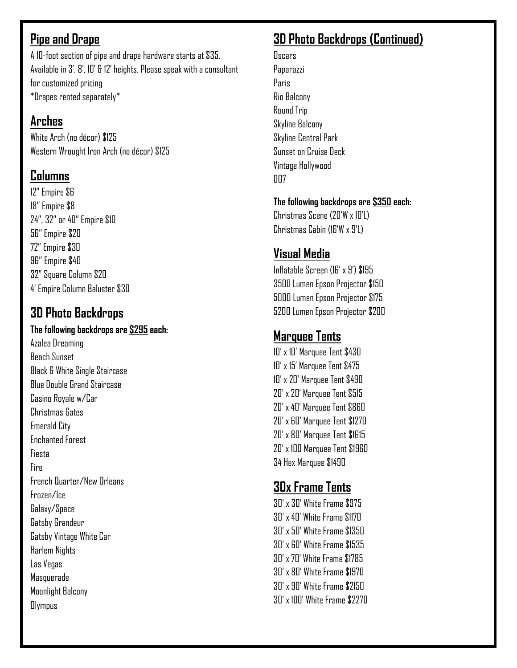## **Pipe and Drape**

A 10-foot section of pipe and drape hardware starts at \$35. Available in 3', 8', 10' & 12' heights. Please speak with a consultant for customized pricing \*Drapes rented separately\*

## **Arches**

White Arch (no décor) \$125 Western Wrought Iron Arch (no décor) \$125

# **Columns**

12" Empire \$6 18" Empire \$8 24", 32" or 40" Empire \$10 56" Empire \$20 72" Empire \$30 96" Empire \$40 32" Square Column \$20 4' Empire Column Baluster \$30

# **3D Photo Backdrops**

#### **The following backdrops are \$295 each:**

Azalea Dreaming Beach Sunset Black & White Single Staircase Blue Double Grand Staircase Casino Royale w/Car Christmas Gates Emerald City Enchanted Forest Fiesta Fire French Quarter/New Orleans Frozen/Ice Galaxy/Space Gatsby Grandeur Gatsby Vintage White Car Harlem Nights Las Vegas Masquerade Moonlight Balcony **Olympus** 

# **3D Photo Backdrops (Continued)**

**Oscars** Paparazzi Paris Rio Balcony Round Trip Skyline Balcony Skyline Central Park Sunset on Cruise Deck Vintage Hollywood nn<sub>7</sub>

#### **The following backdrops are \$350 each:**

Christmas Scene (20'W x 10'L) Christmas Cabin (16'W x 9'L)

# **Visual Media**

Inflatable Screen (16' x 9') \$195 3500 Lumen Epson Projector \$150 5000 Lumen Epson Projector \$175 5200 Lumen Epson Projector \$200

# **Marquee Tents**

10' x 10' Marquee Tent \$430 10' x 15' Marquee Tent \$475 10' x 20' Marquee Tent \$490 20' x 20' Marquee Tent \$515 20' x 40' Marquee Tent \$860 20' x 60' Marquee Tent \$1270 20' x 80' Marquee Tent \$1615 20' x 100 Marquee Tent \$1960 34 Hex Marquee \$1490

# **30x Frame Tents**

30' x 30' White Frame \$975 30' x 40' White Frame \$1170 30' x 50' White Frame \$1350 30' x 60' White Frame \$1535 30' x 70' White Frame \$1785 30' x 80' White Frame \$1970 30' x 90' White Frame \$2150 30' x 100' White Frame \$2270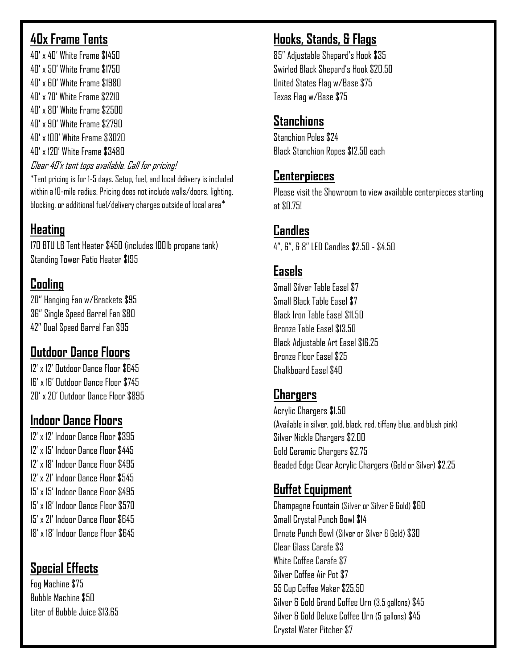#### **40x Frame Tents**

40' x 40' White Frame \$1450 40' x 50' White Frame \$1750 40' x 60' White Frame \$1980 40' x 70' White Frame \$2210 40' x 80' White Frame \$2500 40' x 90' White Frame \$2790 40' x 100' White Frame \$3020 40' x 120' White Frame \$3480 Clear 40'x tent tops available. Call for pricing!

\*Tent pricing is for 1-5 days. Setup, fuel, and local delivery is included within a 10-mile radius. Pricing does not include walls/doors, lighting, blocking, or additional fuel/delivery charges outside of local area\*

## **Heating**

170 BTU LB Tent Heater \$450 (includes 100lb propane tank) Standing Tower Patio Heater \$195

## **Cooling**

20" Hanging Fan w/Brackets \$95 36" Single Speed Barrel Fan \$80 42" Dual Speed Barrel Fan \$95

## **Outdoor Dance Floors**

12' x 12' Outdoor Dance Floor \$645 16' x 16' Outdoor Dance Floor \$745 20' x 20' Outdoor Dance Floor \$895

## **Indoor Dance Floors**

12' x 12' Indoor Dance Floor \$395 12' x 15' Indoor Dance Floor \$445 12' x 18' Indoor Dance Floor \$495 12' x 21' Indoor Dance Floor \$545 15' x 15' Indoor Dance Floor \$495 15' x 18' Indoor Dance Floor \$570 15' x 21' Indoor Dance Floor \$645 18' x 18' Indoor Dance Floor \$645

## **Special Effects**

Fog Machine \$75 Bubble Machine \$50 Liter of Bubble Juice \$13.65

## **Hooks, Stands, & Flags**

85" Adjustable Shepard's Hook \$35 Swirled Black Shepard's Hook \$20.50 United States Flag w/Base \$75 Texas Flag w/Base \$75

#### **Stanchions**

Stanchion Poles \$74 Black Stanchion Ropes \$12.50 each

### **Centerpieces**

Please visit the Showroom to view available centerpieces starting at \$0.75!

## **Candles**

4", 6", & 8" LED Candles \$2.50 - \$4.50

## **Easels**

Small Silver Table Easel \$7 Small Black Table Easel \$7 Black Iron Table Easel \$11.50 Bronze Table Easel \$13.50 Black Adjustable Art Easel \$16.25 Bronze Floor Easel \$25 Chalkhoard Easel \$40

### **Chargers**

Acrylic Chargers \$1.50 (Available in silver, gold, black, red, tiffany blue, and blush pink) Silver Nickle Chargers \$2.00 Gold Ceramic Chargers \$2.75 Beaded Edge Clear Acrylic Chargers (Gold or Silver) \$2.25

## **Buffet Equipment**

Champagne Fountain (Silver or Silver & Gold) \$60 Small Crystal Punch Bowl \$14 Ornate Punch Bowl (Silver or Silver & Gold) \$30 Clear Glass Carafe \$3 White Coffee Carafe \$7 Silver Coffee Air Pot \$7 55 Cup Coffee Maker \$25.50 Silver & Gold Grand Coffee Urn (3.5 gallons) \$45 Silver & Gold Deluxe Coffee Urn (5 gallons) \$45 Crystal Water Pitcher \$7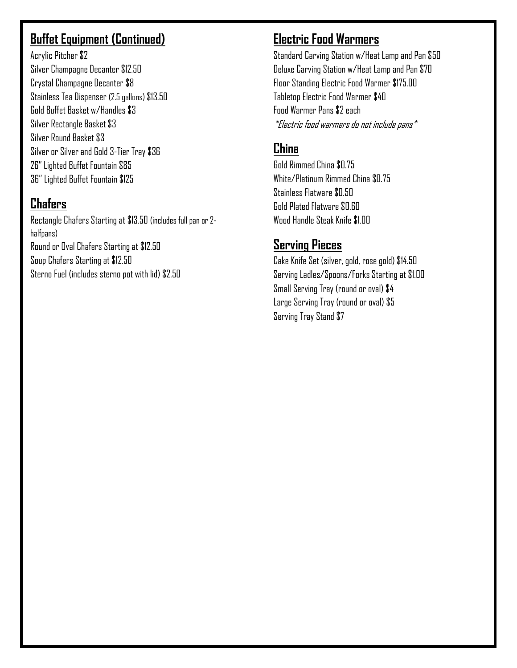## **Buffet Equipment (Continued)**

Acrylic Pitcher \$2 Silver Champagne Decanter \$12.50 Crystal Champagne Decanter \$8 Stainless Tea Dispenser (2.5 gallons) \$13.50 Gold Buffet Basket w/Handles \$3 Silver Rectangle Basket \$3 Silver Round Basket \$3 Silver or Silver and Gold 3-Tier Tray \$36 26" Lighted Buffet Fountain \$85 36" Lighted Buffet Fountain \$125

## **Chafers**

Rectangle Chafers Starting at \$13.50 (includes full pan or 2 halfpans) Round or Oval Chafers Starting at \$12.50 Soup Chafers Starting at \$12.50 Sterno Fuel (includes sterno pot with lid) \$2.50

## **Electric Food Warmers**

Standard Carving Station w/Heat Lamp and Pan \$50 Deluxe Carving Station w/Heat Lamp and Pan \$70 Floor Standing Electric Food Warmer \$175.00 Tabletop Electric Food Warmer \$40 Food Warmer Pans \$2 each \*Electric food warmers do not include pans\*

## **China**

Gold Rimmed China \$0.75 White/Platinum Rimmed China \$0.75 Stainless Flatware \$0.50 Gold Plated Flatware \$0.60 Wood Handle Steak Knife \$1.00

## **Serving Pieces**

Cake Knife Set (silver, gold, rose gold) \$14.50 Serving Ladles/Spoons/Forks Starting at \$1.00 Small Serving Tray (round or oval) \$4 Large Serving Tray (round or oval) \$5 Serving Tray Stand \$7